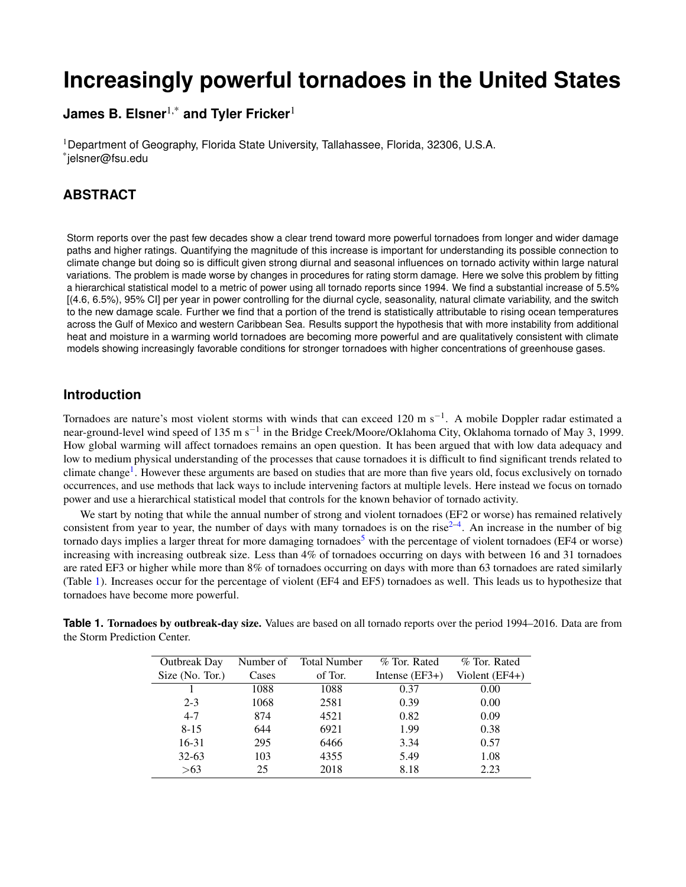# **Increasingly powerful tornadoes in the United States**

**James B. Elsner**1,\* **and Tyler Fricker**<sup>1</sup>

<sup>1</sup>Department of Geography, Florida State University, Tallahassee, Florida, 32306, U.S.A. \* jelsner@fsu.edu

# **ABSTRACT**

Storm reports over the past few decades show a clear trend toward more powerful tornadoes from longer and wider damage paths and higher ratings. Quantifying the magnitude of this increase is important for understanding its possible connection to climate change but doing so is difficult given strong diurnal and seasonal influences on tornado activity within large natural variations. The problem is made worse by changes in procedures for rating storm damage. Here we solve this problem by fitting a hierarchical statistical model to a metric of power using all tornado reports since 1994. We find a substantial increase of 5.5% [(4.6, 6.5%), 95% CI] per year in power controlling for the diurnal cycle, seasonality, natural climate variability, and the switch to the new damage scale. Further we find that a portion of the trend is statistically attributable to rising ocean temperatures across the Gulf of Mexico and western Caribbean Sea. Results support the hypothesis that with more instability from additional heat and moisture in a warming world tornadoes are becoming more powerful and are qualitatively consistent with climate models showing increasingly favorable conditions for stronger tornadoes with higher concentrations of greenhouse gases.

## **Introduction**

Tornadoes are nature's most violent storms with winds that can exceed 120 m s<sup>-1</sup>. A mobile Doppler radar estimated a near-ground-level wind speed of 135 m s<sup>−1</sup> in the Bridge Creek/Moore/Oklahoma City, Oklahoma tornado of May 3, 1999. How global warming will affect tornadoes remains an open question. It has been argued that with low data adequacy and low to medium physical understanding of the processes that cause tornadoes it is difficult to find significant trends related to climate change<sup>[1](#page-4-0)</sup>. However these arguments are based on studies that are more than five years old, focus exclusively on tornado occurrences, and use methods that lack ways to include intervening factors at multiple levels. Here instead we focus on tornado power and use a hierarchical statistical model that controls for the known behavior of tornado activity.

We start by noting that while the annual number of strong and violent tornadoes (EF2 or worse) has remained relatively consistent from year to year, the number of days with many tornadoes is on the rise $2-4$  $2-4$ . An increase in the number of big tornado days implies a larger threat for more damaging tornadoes<sup>[5](#page-4-3)</sup> with the percentage of violent tornadoes (EF4 or worse) increasing with increasing outbreak size. Less than 4% of tornadoes occurring on days with between 16 and 31 tornadoes are rated EF3 or higher while more than 8% of tornadoes occurring on days with more than 63 tornadoes are rated similarly (Table [1\)](#page-0-0). Increases occur for the percentage of violent (EF4 and EF5) tornadoes as well. This leads us to hypothesize that tornadoes have become more powerful.

| <b>Outbreak Day</b> | Number of | <b>Total Number</b> | % Tor. Rated     | % Tor. Rated   |
|---------------------|-----------|---------------------|------------------|----------------|
| Size (No. Tor.)     | Cases     | of Tor.             | Intense $(EF3+)$ | Violent (EF4+) |
|                     | 1088      | 1088                | 0.37             | 0.00           |
| $2 - 3$             | 1068      | 2581                | 0.39             | 0.00           |
| $4 - 7$             | 874       | 4521                | 0.82             | 0.09           |
| $8 - 15$            | 644       | 6921                | 1.99             | 0.38           |
| 16-31               | 295       | 6466                | 3.34             | 0.57           |
| $32 - 63$           | 103       | 4355                | 5.49             | 1.08           |
| >63                 | 25        | 2018                | 8.18             | 2.23           |

<span id="page-0-0"></span>**Table 1. Tornadoes by outbreak-day size.** Values are based on all tornado reports over the period 1994–2016. Data are from the Storm Prediction Center.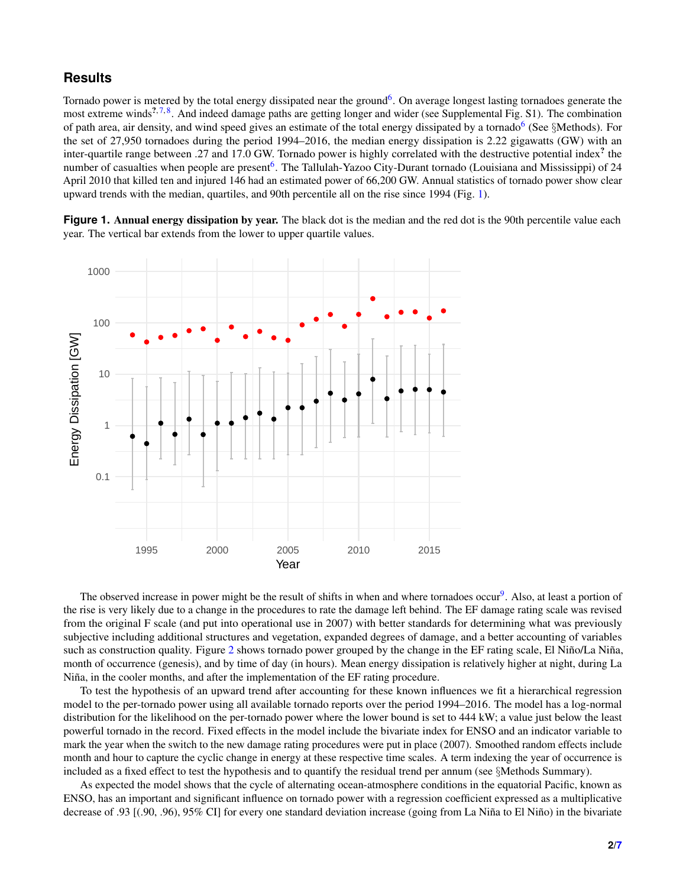## **Results**

Tornado power is metered by the total energy dissipated near the ground<sup>[6](#page-5-0)</sup>. On average longest lasting tornadoes generate the most extreme winds<sup>2,[7,](#page-5-1)[8](#page-5-2)</sup>. And indeed damage paths are getting longer and wider (see Supplemental Fig. S1). The combination of path area, air density, and wind speed gives an estimate of the total energy dissipated by a tornado<sup>[6](#page-5-0)</sup> (See §Methods). For the set of 27,950 tornadoes during the period 1994–2016, the median energy dissipation is 2.22 gigawatts (GW) with an inter-quartile range between .27 and 17.0 GW. Tornado power is highly correlated with the destructive potential index<sup>?</sup> the number of casualties when people are present<sup>[6](#page-5-0)</sup>. The Tallulah-Yazoo City-Durant tornado (Louisiana and Mississippi) of 24 April 2010 that killed ten and injured 146 had an estimated power of 66,200 GW. Annual statistics of tornado power show clear upward trends with the median, quartiles, and 90th percentile all on the rise since 1994 (Fig. [1\)](#page-1-0).

<span id="page-1-0"></span>Figure 1. Annual energy dissipation by year. The black dot is the median and the red dot is the 90th percentile value each year. The vertical bar extends from the lower to upper quartile values.



The observed increase in power might be the result of shifts in when and where tornadoes occur<sup>[9](#page-5-3)</sup>. Also, at least a portion of the rise is very likely due to a change in the procedures to rate the damage left behind. The EF damage rating scale was revised from the original F scale (and put into operational use in 2007) with better standards for determining what was previously subjective including additional structures and vegetation, expanded degrees of damage, and a better accounting of variables such as construction quality. Figure [2](#page-2-0) shows tornado power grouped by the change in the EF rating scale, El Niño/La Niña, month of occurrence (genesis), and by time of day (in hours). Mean energy dissipation is relatively higher at night, during La Niña, in the cooler months, and after the implementation of the EF rating procedure.

To test the hypothesis of an upward trend after accounting for these known influences we fit a hierarchical regression model to the per-tornado power using all available tornado reports over the period 1994–2016. The model has a log-normal distribution for the likelihood on the per-tornado power where the lower bound is set to 444 kW; a value just below the least powerful tornado in the record. Fixed effects in the model include the bivariate index for ENSO and an indicator variable to mark the year when the switch to the new damage rating procedures were put in place (2007). Smoothed random effects include month and hour to capture the cyclic change in energy at these respective time scales. A term indexing the year of occurrence is included as a fixed effect to test the hypothesis and to quantify the residual trend per annum (see §Methods Summary).

As expected the model shows that the cycle of alternating ocean-atmosphere conditions in the equatorial Pacific, known as ENSO, has an important and significant influence on tornado power with a regression coefficient expressed as a multiplicative decrease of .93  $[(.90, .96), 95\%$  CI] for every one standard deviation increase (going from La Niña to El Niño) in the bivariate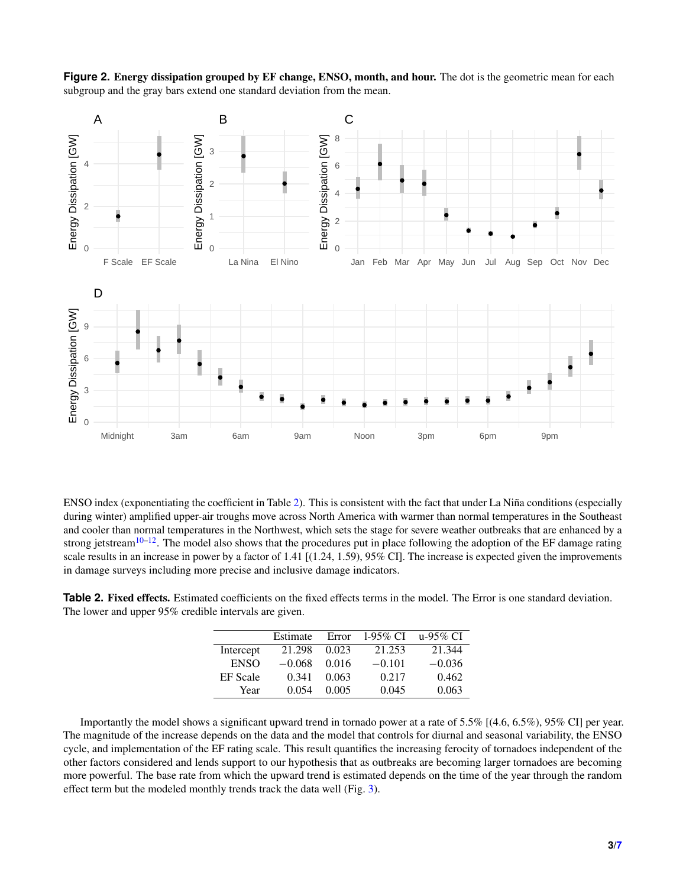<span id="page-2-0"></span>



ENSO index (exponentiating the coefficient in Table [2\)](#page-2-1). This is consistent with the fact that under La Niña conditions (especially during winter) amplified upper-air troughs move across North America with warmer than normal temperatures in the Southeast and cooler than normal temperatures in the Northwest, which sets the stage for severe weather outbreaks that are enhanced by a strong jetstream<sup>[10](#page-5-4)[–12](#page-5-5)</sup>. The model also shows that the procedures put in place following the adoption of the EF damage rating scale results in an increase in power by a factor of 1.41 [(1.24, 1.59), 95% CI]. The increase is expected given the improvements in damage surveys including more precise and inclusive damage indicators.

<span id="page-2-1"></span>**Table 2.** Fixed effects. Estimated coefficients on the fixed effects terms in the model. The Error is one standard deviation. The lower and upper 95% credible intervals are given.

|                 | Estimate | Error | 1-95% CI | u-95% CI |
|-----------------|----------|-------|----------|----------|
| Intercept       | 21.298   | 0.023 | 21.253   | 21.344   |
| <b>ENSO</b>     | $-0.068$ | 0.016 | $-0.101$ | $-0.036$ |
| <b>EF</b> Scale | 0.341    | 0.063 | 0.217    | 0.462    |
| Year            | 0.054    | 0.005 | 0.045    | 0.063    |

Importantly the model shows a significant upward trend in tornado power at a rate of 5.5% [(4.6, 6.5%), 95% CI] per year. The magnitude of the increase depends on the data and the model that controls for diurnal and seasonal variability, the ENSO cycle, and implementation of the EF rating scale. This result quantifies the increasing ferocity of tornadoes independent of the other factors considered and lends support to our hypothesis that as outbreaks are becoming larger tornadoes are becoming more powerful. The base rate from which the upward trend is estimated depends on the time of the year through the random effect term but the modeled monthly trends track the data well (Fig. [3\)](#page-3-0).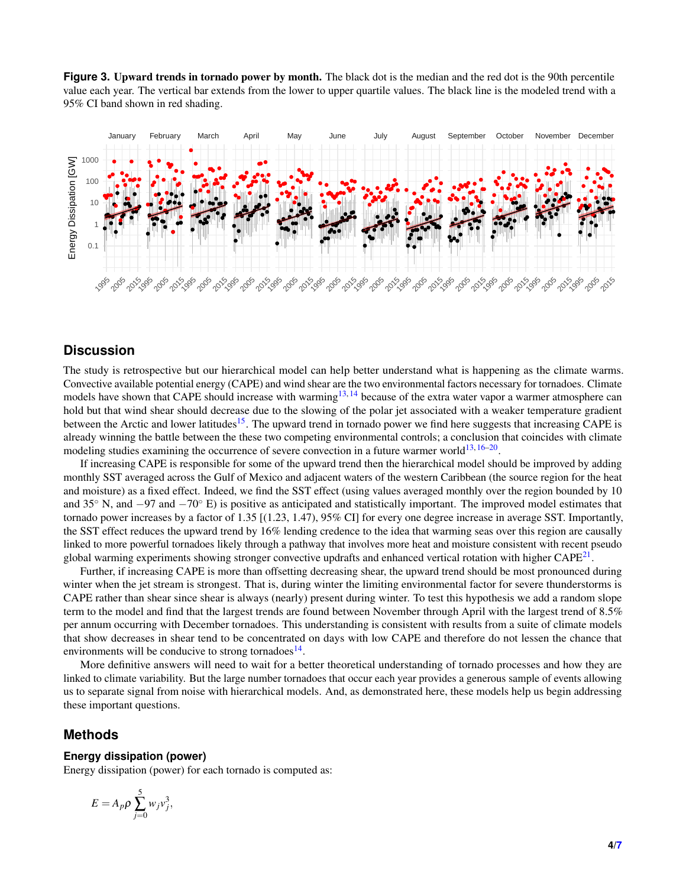<span id="page-3-0"></span>**Figure 3.** Upward trends in tornado power by month. The black dot is the median and the red dot is the 90th percentile value each year. The vertical bar extends from the lower to upper quartile values. The black line is the modeled trend with a 95% CI band shown in red shading.



## **Discussion**

The study is retrospective but our hierarchical model can help better understand what is happening as the climate warms. Convective available potential energy (CAPE) and wind shear are the two environmental factors necessary for tornadoes. Climate models have shown that CAPE should increase with warming<sup>[13,](#page-5-6) [14](#page-5-7)</sup> because of the extra water vapor a warmer atmosphere can hold but that wind shear should decrease due to the slowing of the polar jet associated with a weaker temperature gradient between the Arctic and lower latitudes<sup>[15](#page-5-8)</sup>. The upward trend in tornado power we find here suggests that increasing CAPE is already winning the battle between the these two competing environmental controls; a conclusion that coincides with climate modeling studies examining the occurrence of severe convection in a future warmer world<sup>[13,](#page-5-6)[16](#page-5-9)[–20](#page-5-10)</sup>.

If increasing CAPE is responsible for some of the upward trend then the hierarchical model should be improved by adding monthly SST averaged across the Gulf of Mexico and adjacent waters of the western Caribbean (the source region for the heat and moisture) as a fixed effect. Indeed, we find the SST effect (using values averaged monthly over the region bounded by 10 and 35◦ N, and −97 and −70◦ E) is positive as anticipated and statistically important. The improved model estimates that tornado power increases by a factor of 1.35 [(1.23, 1.47), 95% CI] for every one degree increase in average SST. Importantly, the SST effect reduces the upward trend by 16% lending credence to the idea that warming seas over this region are causally linked to more powerful tornadoes likely through a pathway that involves more heat and moisture consistent with recent pseudo global warming experiments showing stronger convective updrafts and enhanced vertical rotation with higher  $\text{CAPE}^{21}$  $\text{CAPE}^{21}$  $\text{CAPE}^{21}$ .

Further, if increasing CAPE is more than offsetting decreasing shear, the upward trend should be most pronounced during winter when the jet stream is strongest. That is, during winter the limiting environmental factor for severe thunderstorms is CAPE rather than shear since shear is always (nearly) present during winter. To test this hypothesis we add a random slope term to the model and find that the largest trends are found between November through April with the largest trend of 8.5% per annum occurring with December tornadoes. This understanding is consistent with results from a suite of climate models that show decreases in shear tend to be concentrated on days with low CAPE and therefore do not lessen the chance that environments will be conducive to strong tornadoes $^{14}$  $^{14}$  $^{14}$ .

More definitive answers will need to wait for a better theoretical understanding of tornado processes and how they are linked to climate variability. But the large number tornadoes that occur each year provides a generous sample of events allowing us to separate signal from noise with hierarchical models. And, as demonstrated here, these models help us begin addressing these important questions.

### **Methods**

#### **Energy dissipation (power)**

Energy dissipation (power) for each tornado is computed as:

$$
E=A_p\rho\sum_{j=0}^5 w_jv_j^3,
$$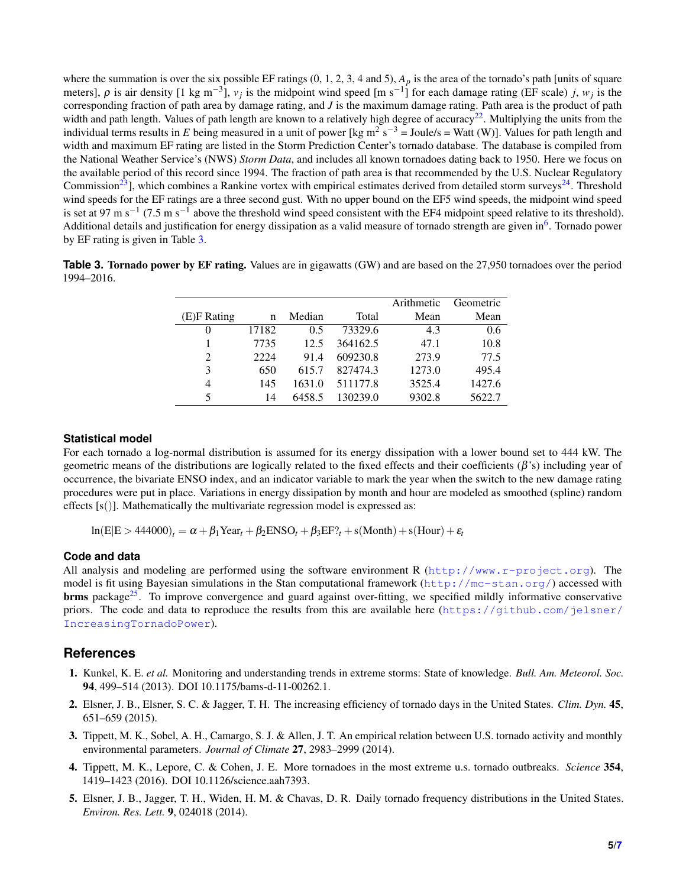where the summation is over the six possible EF ratings  $(0, 1, 2, 3, 4 \text{ and } 5)$ ,  $A_p$  is the area of the tornado's path [units of square meters],  $\rho$  is air density [1 kg m<sup>-3</sup>],  $v_j$  is the midpoint wind speed [m s<sup>-1</sup>] for each damage rating (EF scale) *j*,  $w_j$  is the corresponding fraction of path area by damage rating, and *J* is the maximum damage rating. Path area is the product of path width and path length. Values of path length are known to a relatively high degree of accuracy<sup>[22](#page-5-12)</sup>. Multiplying the units from the individual terms results in E being measured in a unit of power [kg m<sup>2</sup> s<sup>-3</sup> = Joule/s = Watt (W)]. Values for path length and width and maximum EF rating are listed in the Storm Prediction Center's tornado database. The database is compiled from the National Weather Service's (NWS) *Storm Data*, and includes all known tornadoes dating back to 1950. Here we focus on the available period of this record since 1994. The fraction of path area is that recommended by the U.S. Nuclear Regulatory Commission<sup>[23](#page-5-13)</sup>, which combines a Rankine vortex with empirical estimates derived from detailed storm surveys<sup>[24](#page-5-14)</sup>. Threshold wind speeds for the EF ratings are a three second gust. With no upper bound on the EF5 wind speeds, the midpoint wind speed is set at 97 m s<sup>-1</sup> (7.5 m s<sup>-1</sup> above the threshold wind speed consistent with the EF4 midpoint speed relative to its threshold). Additional details and justification for energy dissipation as a valid measure of tornado strength are given in<sup>[6](#page-5-0)</sup>. Tornado power by EF rating is given in Table [3.](#page-4-4)

<span id="page-4-4"></span>**Table 3. Tornado power by EF rating.** Values are in gigawatts (GW) and are based on the 27,950 tornadoes over the period 1994–2016.

|                |       |        |          | Arithmetic | Geometric |
|----------------|-------|--------|----------|------------|-----------|
| (E)F Rating    | n     | Median | Total    | Mean       | Mean      |
| $\theta$       | 17182 | 0.5    | 73329.6  | 4.3        | 0.6       |
|                | 7735  | 12.5   | 364162.5 | 47.1       | 10.8      |
| $\overline{2}$ | 2224  | 91.4   | 609230.8 | 273.9      | 77.5      |
| 3              | 650   | 615.7  | 827474.3 | 1273.0     | 495.4     |
| $\overline{4}$ | 145   | 1631.0 | 511177.8 | 3525.4     | 1427.6    |
| 5              | 14    | 6458.5 | 130239.0 | 9302.8     | 5622.7    |

#### **Statistical model**

For each tornado a log-normal distribution is assumed for its energy dissipation with a lower bound set to 444 kW. The geometric means of the distributions are logically related to the fixed effects and their coefficients  $(\beta)$ 's) including year of occurrence, the bivariate ENSO index, and an indicator variable to mark the year when the switch to the new damage rating procedures were put in place. Variations in energy dissipation by month and hour are modeled as smoothed (spline) random effects  $[s()]$ . Mathematically the multivariate regression model is expressed as:

 $ln(E|E > 444000)$ <sub>t</sub> =  $\alpha + \beta_1$ Year<sub>t</sub> +  $\beta_2$ ENSO<sub>t</sub> +  $\beta_3$ EF?<sub>t</sub> + s(Month) + s(Hour) +  $\varepsilon_t$ 

#### **Code and data**

All analysis and modeling are performed using the software environment R  $(htttp://www.r-project.org)$ . The model is fit using Bayesian simulations in the Stan computational framework (<http://mc-stan.org/>) accessed with **brms** package<sup>[25](#page-5-15)</sup>. To improve convergence and guard against over-fitting, we specified mildly informative conservative priors. The code and data to reproduce the results from this are available here ([https://github.com/jelsner/](https://github.com/jelsner/IncreasingTornadoPower) [IncreasingTornadoPower](https://github.com/jelsner/IncreasingTornadoPower)).

## **References**

- <span id="page-4-0"></span>1. Kunkel, K. E. *et al.* Monitoring and understanding trends in extreme storms: State of knowledge. *Bull. Am. Meteorol. Soc.* 94, 499–514 (2013). DOI 10.1175/bams-d-11-00262.1.
- <span id="page-4-1"></span>2. Elsner, J. B., Elsner, S. C. & Jagger, T. H. The increasing efficiency of tornado days in the United States. *Clim. Dyn.* 45, 651–659 (2015).
- 3. Tippett, M. K., Sobel, A. H., Camargo, S. J. & Allen, J. T. An empirical relation between U.S. tornado activity and monthly environmental parameters. *Journal of Climate* 27, 2983–2999 (2014).
- <span id="page-4-2"></span>4. Tippett, M. K., Lepore, C. & Cohen, J. E. More tornadoes in the most extreme u.s. tornado outbreaks. *Science* 354, 1419–1423 (2016). DOI 10.1126/science.aah7393.
- <span id="page-4-3"></span>5. Elsner, J. B., Jagger, T. H., Widen, H. M. & Chavas, D. R. Daily tornado frequency distributions in the United States. *Environ. Res. Lett.* 9, 024018 (2014).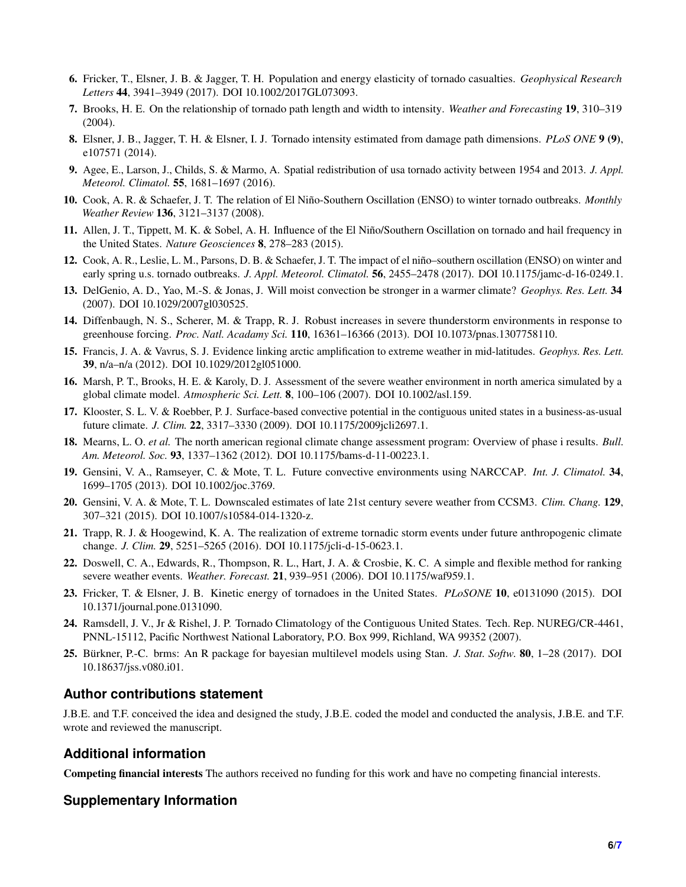- <span id="page-5-0"></span>6. Fricker, T., Elsner, J. B. & Jagger, T. H. Population and energy elasticity of tornado casualties. *Geophysical Research Letters* 44, 3941–3949 (2017). DOI 10.1002/2017GL073093.
- <span id="page-5-1"></span>7. Brooks, H. E. On the relationship of tornado path length and width to intensity. *Weather and Forecasting* 19, 310–319 (2004).
- <span id="page-5-2"></span>8. Elsner, J. B., Jagger, T. H. & Elsner, I. J. Tornado intensity estimated from damage path dimensions. *PLoS ONE* 9 (9), e107571 (2014).
- <span id="page-5-3"></span>9. Agee, E., Larson, J., Childs, S. & Marmo, A. Spatial redistribution of usa tornado activity between 1954 and 2013. *J. Appl. Meteorol. Climatol.* 55, 1681–1697 (2016).
- <span id="page-5-4"></span>10. Cook, A. R. & Schaefer, J. T. The relation of El Nino-Southern Oscillation (ENSO) to winter tornado outbreaks. ˜ *Monthly Weather Review* 136, 3121–3137 (2008).
- 11. Allen, J. T., Tippett, M. K. & Sobel, A. H. Influence of the El Niño/Southern Oscillation on tornado and hail frequency in the United States. *Nature Geosciences* 8, 278–283 (2015).
- <span id="page-5-5"></span>12. Cook, A. R., Leslie, L. M., Parsons, D. B. & Schaefer, J. T. The impact of el nino–southern oscillation (ENSO) on winter and ˜ early spring u.s. tornado outbreaks. *J. Appl. Meteorol. Climatol.* 56, 2455–2478 (2017). DOI 10.1175/jamc-d-16-0249.1.
- <span id="page-5-6"></span>13. DelGenio, A. D., Yao, M.-S. & Jonas, J. Will moist convection be stronger in a warmer climate? *Geophys. Res. Lett.* 34 (2007). DOI 10.1029/2007gl030525.
- <span id="page-5-7"></span>14. Diffenbaugh, N. S., Scherer, M. & Trapp, R. J. Robust increases in severe thunderstorm environments in response to greenhouse forcing. *Proc. Natl. Acadamy Sci.* 110, 16361–16366 (2013). DOI 10.1073/pnas.1307758110.
- <span id="page-5-8"></span>15. Francis, J. A. & Vavrus, S. J. Evidence linking arctic amplification to extreme weather in mid-latitudes. *Geophys. Res. Lett.* 39, n/a–n/a (2012). DOI 10.1029/2012gl051000.
- <span id="page-5-9"></span>16. Marsh, P. T., Brooks, H. E. & Karoly, D. J. Assessment of the severe weather environment in north america simulated by a global climate model. *Atmospheric Sci. Lett.* 8, 100–106 (2007). DOI 10.1002/asl.159.
- 17. Klooster, S. L. V. & Roebber, P. J. Surface-based convective potential in the contiguous united states in a business-as-usual future climate. *J. Clim.* 22, 3317–3330 (2009). DOI 10.1175/2009jcli2697.1.
- 18. Mearns, L. O. *et al.* The north american regional climate change assessment program: Overview of phase i results. *Bull. Am. Meteorol. Soc.* 93, 1337–1362 (2012). DOI 10.1175/bams-d-11-00223.1.
- 19. Gensini, V. A., Ramseyer, C. & Mote, T. L. Future convective environments using NARCCAP. *Int. J. Climatol.* 34, 1699–1705 (2013). DOI 10.1002/joc.3769.
- <span id="page-5-10"></span>20. Gensini, V. A. & Mote, T. L. Downscaled estimates of late 21st century severe weather from CCSM3. *Clim. Chang.* 129, 307–321 (2015). DOI 10.1007/s10584-014-1320-z.
- <span id="page-5-11"></span>21. Trapp, R. J. & Hoogewind, K. A. The realization of extreme tornadic storm events under future anthropogenic climate change. *J. Clim.* 29, 5251–5265 (2016). DOI 10.1175/jcli-d-15-0623.1.
- <span id="page-5-12"></span>22. Doswell, C. A., Edwards, R., Thompson, R. L., Hart, J. A. & Crosbie, K. C. A simple and flexible method for ranking severe weather events. *Weather. Forecast.* 21, 939–951 (2006). DOI 10.1175/waf959.1.
- <span id="page-5-13"></span>23. Fricker, T. & Elsner, J. B. Kinetic energy of tornadoes in the United States. *PLoSONE* 10, e0131090 (2015). DOI 10.1371/journal.pone.0131090.
- <span id="page-5-14"></span>24. Ramsdell, J. V., Jr & Rishel, J. P. Tornado Climatology of the Contiguous United States. Tech. Rep. NUREG/CR-4461, PNNL-15112, Pacific Northwest National Laboratory, P.O. Box 999, Richland, WA 99352 (2007).
- <span id="page-5-15"></span>25. Bürkner, P.-C. brms: An R package for bayesian multilevel models using Stan. *J. Stat. Softw.* 80, 1–28 (2017). DOI 10.18637/jss.v080.i01.

## **Author contributions statement**

J.B.E. and T.F. conceived the idea and designed the study, J.B.E. coded the model and conducted the analysis, J.B.E. and T.F. wrote and reviewed the manuscript.

## **Additional information**

Competing financial interests The authors received no funding for this work and have no competing financial interests.

# **Supplementary Information**